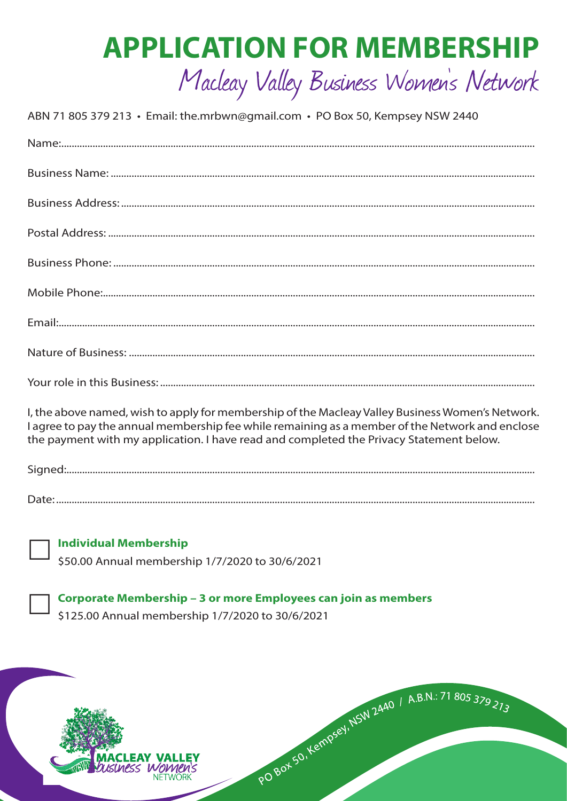# **APPLICATION FOR MEMBERSHIP**

## Macleay Valley Business Women's Network

ABN 71 805 379 213 · Email: the.mrbwn@gmail.com · PO Box 50, Kempsey NSW 2440

| I, the above named, wish to apply for membership of the Macleay Valley Business Women's Network.<br>I agree to pay the annual membership fee while remaining as a member of the Network and enclose<br>the payment with my application. I have read and completed the Privacy Statement below. |
|------------------------------------------------------------------------------------------------------------------------------------------------------------------------------------------------------------------------------------------------------------------------------------------------|
|                                                                                                                                                                                                                                                                                                |
| $\mathsf{Data}$                                                                                                                                                                                                                                                                                |

**Individual Membership** 

\$50.00 Annual membership 1/7/2020 to 30/6/2021

Corporate Membership - 3 or more Employees can join as members \$125.00 Annual membership 1/7/2020 to 30/6/2021